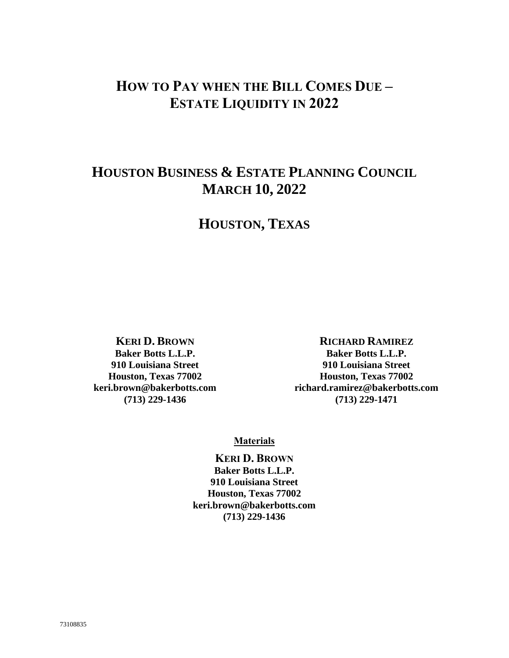# **HOW TO PAY WHEN THE BILL COMES DUE – ESTATE LIQUIDITY IN 2022**

# **HOUSTON BUSINESS & ESTATE PLANNING COUNCIL MARCH 10, 2022**

# **HOUSTON, TEXAS**

**KERI D. BROWN Baker Botts L.L.P. 910 Louisiana Street Houston, Texas 77002 keri.brown@bakerbotts.com (713) 229-1436**

#### **RICHARD RAMIREZ**

**Baker Botts L.L.P. 910 Louisiana Street Houston, Texas 77002 richard.ramirez@bakerbotts.com (713) 229-1471**

#### **Materials**

**KERI D. BROWN Baker Botts L.L.P. 910 Louisiana Street Houston, Texas 77002 keri.brown@bakerbotts.com (713) 229-1436**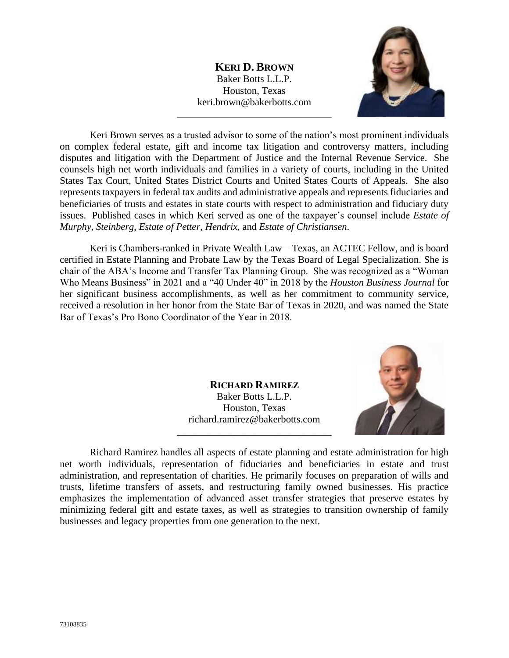**KERI D. BROWN** Baker Botts L.L.P. Houston, Texas keri.brown@bakerbotts.com

\_\_\_\_\_\_\_\_\_\_\_\_\_\_\_\_\_\_\_\_\_\_\_\_\_\_\_\_\_\_\_



Keri Brown serves as a trusted advisor to some of the nation's most prominent individuals on complex federal estate, gift and income tax litigation and controversy matters, including disputes and litigation with the Department of Justice and the Internal Revenue Service. She counsels high net worth individuals and families in a variety of courts, including in the United States Tax Court, United States District Courts and United States Courts of Appeals. She also represents taxpayers in federal tax audits and administrative appeals and represents fiduciaries and beneficiaries of trusts and estates in state courts with respect to administration and fiduciary duty issues. Published cases in which Keri served as one of the taxpayer's counsel include *Estate of Murphy*, *Steinberg*, *Estate of Petter*, *Hendrix*, and *Estate of Christiansen*.

Keri is Chambers-ranked in Private Wealth Law – Texas, an ACTEC Fellow, and is board certified in Estate Planning and Probate Law by the Texas Board of Legal Specialization. She is chair of the ABA's Income and Transfer Tax Planning Group. She was recognized as a "Woman Who Means Business" in 2021 and a "40 Under 40" in 2018 by the *Houston Business Journal* for her significant business accomplishments, as well as her commitment to community service, received a resolution in her honor from the State Bar of Texas in 2020, and was named the State Bar of Texas's Pro Bono Coordinator of the Year in 2018.

> **RICHARD RAMIREZ** Baker Botts L.L.P. Houston, Texas richard.ramirez@bakerbotts.com \_\_\_\_\_\_\_\_\_\_\_\_\_\_\_\_\_\_\_\_\_\_\_\_\_\_\_\_\_\_\_



Richard Ramirez handles all aspects of estate planning and estate administration for high net worth individuals, representation of fiduciaries and beneficiaries in estate and trust administration, and representation of charities. He primarily focuses on preparation of wills and trusts, lifetime transfers of assets, and restructuring family owned businesses. His practice emphasizes the implementation of advanced asset transfer strategies that preserve estates by minimizing federal gift and estate taxes, as well as strategies to transition ownership of family businesses and legacy properties from one generation to the next.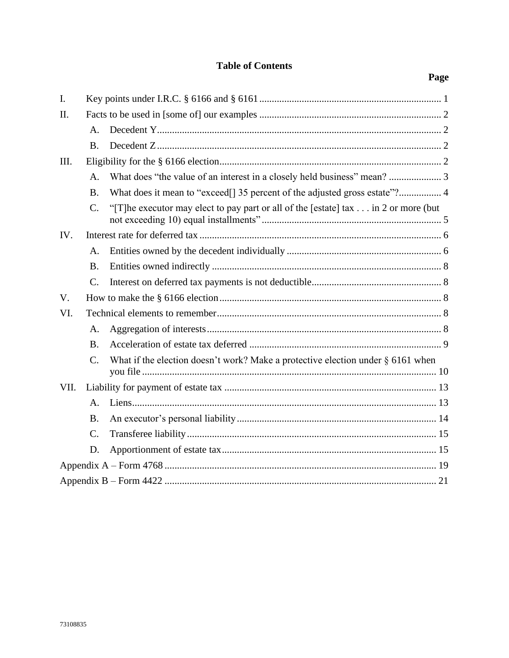# **Table of Contents**

| I.          |                 |                                                                                     |  |
|-------------|-----------------|-------------------------------------------------------------------------------------|--|
| II.         |                 |                                                                                     |  |
|             | A <sub>1</sub>  |                                                                                     |  |
|             | <b>B.</b>       |                                                                                     |  |
| III.        |                 |                                                                                     |  |
|             | A <sub>1</sub>  |                                                                                     |  |
|             | <b>B.</b>       |                                                                                     |  |
|             | $\mathcal{C}$ . | "[T] he executor may elect to pay part or all of the [estate] tax in 2 or more (but |  |
| IV.         |                 |                                                                                     |  |
|             | A <sub>1</sub>  |                                                                                     |  |
|             | <b>B.</b>       |                                                                                     |  |
|             | $C_{\cdot}$     |                                                                                     |  |
| $V_{\cdot}$ |                 |                                                                                     |  |
| VI.         |                 |                                                                                     |  |
|             | A.              |                                                                                     |  |
|             | <b>B.</b>       |                                                                                     |  |
|             | $\mathbf{C}$ .  | What if the election doesn't work? Make a protective election under § 6161 when     |  |
| VII.        |                 |                                                                                     |  |
|             | A <sub>1</sub>  |                                                                                     |  |
|             | <b>B.</b>       |                                                                                     |  |
|             | $C_{\cdot}$     |                                                                                     |  |
|             | D.              |                                                                                     |  |
|             |                 |                                                                                     |  |
|             |                 |                                                                                     |  |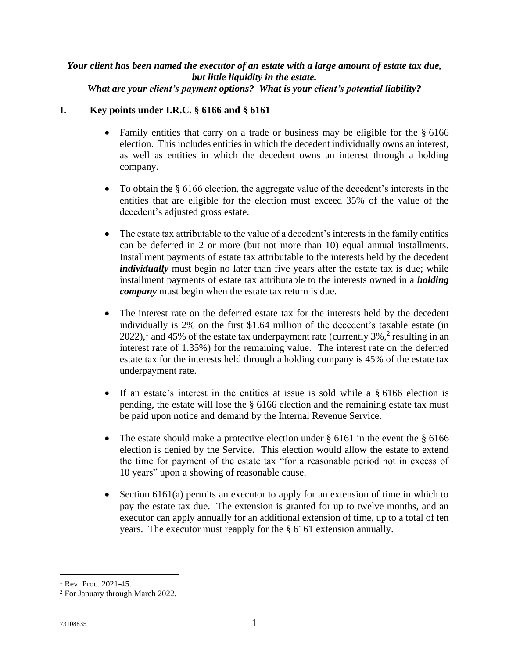#### *Your client has been named the executor of an estate with a large amount of estate tax due, but little liquidity in the estate. What are your client's payment options? What is your client's potential liability?*

# <span id="page-3-0"></span>**I. Key points under I.R.C. § 6166 and § 6161**

- Family entities that carry on a trade or business may be eligible for the § 6166 election. This includes entities in which the decedent individually owns an interest, as well as entities in which the decedent owns an interest through a holding company.
- To obtain the § 6166 election, the aggregate value of the decedent's interests in the entities that are eligible for the election must exceed 35% of the value of the decedent's adjusted gross estate.
- The estate tax attributable to the value of a decedent's interests in the family entities can be deferred in 2 or more (but not more than 10) equal annual installments. Installment payments of estate tax attributable to the interests held by the decedent *individually* must begin no later than five years after the estate tax is due; while installment payments of estate tax attributable to the interests owned in a *holding company* must begin when the estate tax return is due.
- The interest rate on the deferred estate tax for the interests held by the decedent individually is 2% on the first \$1.64 million of the decedent's taxable estate (in 2022),<sup>1</sup> and 45% of the estate tax underpayment rate (currently  $3\%$ ,<sup>2</sup> resulting in an interest rate of 1.35%) for the remaining value. The interest rate on the deferred estate tax for the interests held through a holding company is 45% of the estate tax underpayment rate.
- If an estate's interest in the entities at issue is sold while a § 6166 election is pending, the estate will lose the § 6166 election and the remaining estate tax must be paid upon notice and demand by the Internal Revenue Service.
- The estate should make a protective election under § 6161 in the event the § 6166 election is denied by the Service. This election would allow the estate to extend the time for payment of the estate tax "for a reasonable period not in excess of 10 years" upon a showing of reasonable cause.
- Section 6161(a) permits an executor to apply for an extension of time in which to pay the estate tax due. The extension is granted for up to twelve months, and an executor can apply annually for an additional extension of time, up to a total of ten years. The executor must reapply for the § 6161 extension annually.

 $1$  Rev. Proc. 2021-45.

<sup>2</sup> For January through March 2022.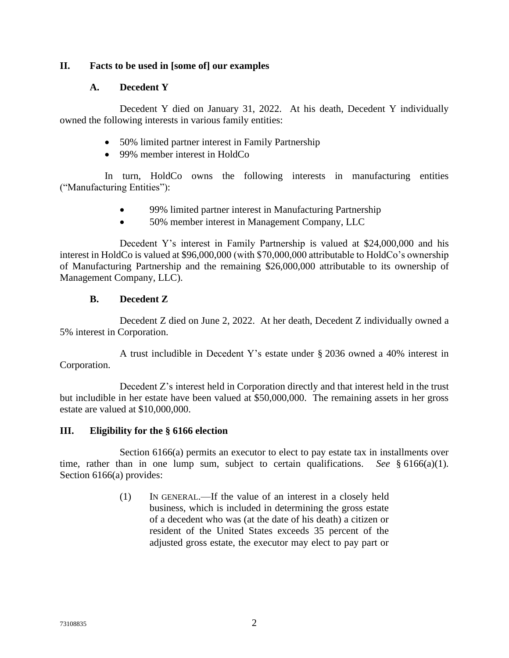# <span id="page-4-1"></span><span id="page-4-0"></span>**II. Facts to be used in [some of] our examples**

### **A. Decedent Y**

Decedent Y died on January 31, 2022. At his death, Decedent Y individually owned the following interests in various family entities:

- 50% limited partner interest in Family Partnership
- 99% member interest in HoldCo

In turn, HoldCo owns the following interests in manufacturing entities ("Manufacturing Entities"):

- 99% limited partner interest in Manufacturing Partnership
- 50% member interest in Management Company, LLC

Decedent Y's interest in Family Partnership is valued at \$24,000,000 and his interest in HoldCo is valued at \$96,000,000 (with \$70,000,000 attributable to HoldCo's ownership of Manufacturing Partnership and the remaining \$26,000,000 attributable to its ownership of Management Company, LLC).

#### **B. Decedent Z**

<span id="page-4-2"></span>Decedent Z died on June 2, 2022. At her death, Decedent Z individually owned a 5% interest in Corporation.

A trust includible in Decedent Y's estate under § 2036 owned a 40% interest in Corporation.

Decedent Z's interest held in Corporation directly and that interest held in the trust but includible in her estate have been valued at \$50,000,000. The remaining assets in her gross estate are valued at \$10,000,000.

#### <span id="page-4-3"></span>**III. Eligibility for the § 6166 election**

Section 6166(a) permits an executor to elect to pay estate tax in installments over time, rather than in one lump sum, subject to certain qualifications. *See* § 6166(a)(1). Section 6166(a) provides:

> (1) IN GENERAL.—If the value of an interest in a closely held business, which is included in determining the gross estate of a decedent who was (at the date of his death) a citizen or resident of the United States exceeds 35 percent of the adjusted gross estate, the executor may elect to pay part or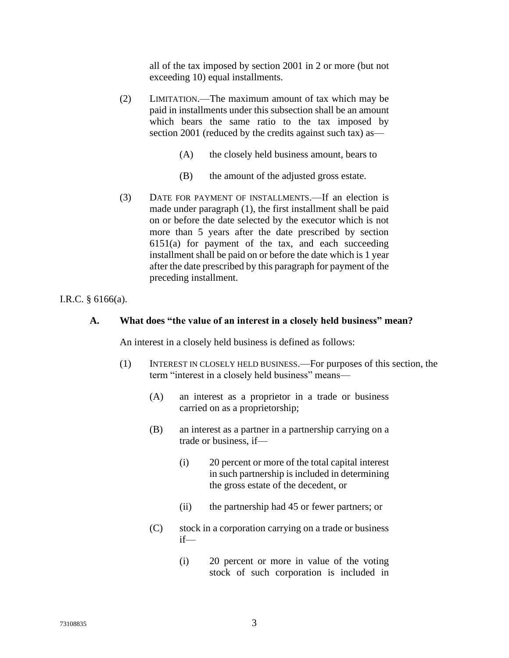all of the tax imposed by section 2001 in 2 or more (but not exceeding 10) equal installments.

- (2) LIMITATION.—The maximum amount of tax which may be paid in installments under this subsection shall be an amount which bears the same ratio to the tax imposed by section 2001 (reduced by the credits against such tax) as—
	- (A) the closely held business amount, bears to
	- (B) the amount of the adjusted gross estate.
- (3) DATE FOR PAYMENT OF INSTALLMENTS.—If an election is made under paragraph (1), the first installment shall be paid on or before the date selected by the executor which is not more than 5 years after the date prescribed by section  $6151(a)$  for payment of the tax, and each succeeding installment shall be paid on or before the date which is 1 year after the date prescribed by this paragraph for payment of the preceding installment.

<span id="page-5-0"></span>I.R.C. § 6166(a).

#### **A. What does "the value of an interest in a closely held business" mean?**

An interest in a closely held business is defined as follows:

- (1) INTEREST IN CLOSELY HELD BUSINESS.—For purposes of this section, the term "interest in a closely held business" means—
	- (A) an interest as a proprietor in a trade or business carried on as a proprietorship;
	- (B) an interest as a partner in a partnership carrying on a trade or business, if—
		- (i) 20 percent or more of the total capital interest in such partnership is included in determining the gross estate of the decedent, or
		- (ii) the partnership had 45 or fewer partners; or
	- (C) stock in a corporation carrying on a trade or business if—
		- (i) 20 percent or more in value of the voting stock of such corporation is included in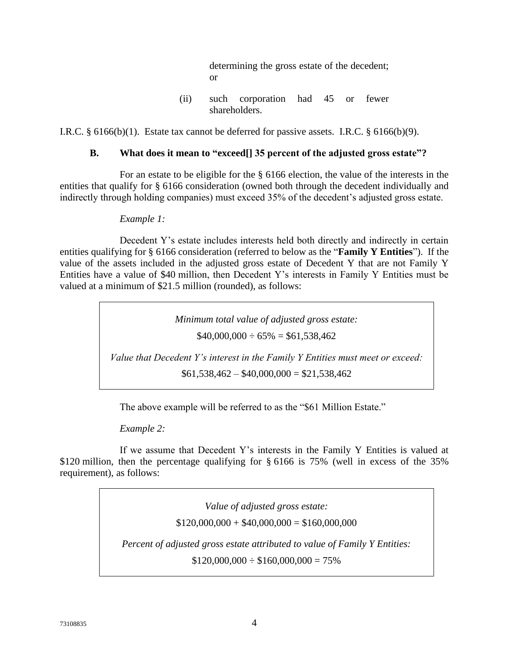determining the gross estate of the decedent; or

(ii) such corporation had 45 or fewer shareholders.

<span id="page-6-0"></span>I.R.C. § 6166(b)(1). Estate tax cannot be deferred for passive assets. I.R.C. § 6166(b)(9).

# **B. What does it mean to "exceed[] 35 percent of the adjusted gross estate"?**

For an estate to be eligible for the § 6166 election, the value of the interests in the entities that qualify for § 6166 consideration (owned both through the decedent individually and indirectly through holding companies) must exceed 35% of the decedent's adjusted gross estate.

#### *Example 1:*

Decedent Y's estate includes interests held both directly and indirectly in certain entities qualifying for § 6166 consideration (referred to below as the "**Family Y Entities**"). If the value of the assets included in the adjusted gross estate of Decedent Y that are not Family Y Entities have a value of \$40 million, then Decedent Y's interests in Family Y Entities must be valued at a minimum of \$21.5 million (rounded), as follows:

> *Minimum total value of adjusted gross estate:*  $$40,000,000 \div 65\% = $61,538,462$

*Value that Decedent Y's interest in the Family Y Entities must meet or exceed:*  $$61,538,462 - $40,000,000 = $21,538,462$ 

The above example will be referred to as the "\$61 Million Estate."

*Example 2:* 

If we assume that Decedent Y's interests in the Family Y Entities is valued at \$120 million, then the percentage qualifying for § 6166 is 75% (well in excess of the 35% requirement), as follows:

> *Value of adjusted gross estate:*  $$120,000,000 + $40,000,000 = $160,000,000$ *Percent of adjusted gross estate attributed to value of Family Y Entities:*  $$120,000,000 \div $160,000,000 = 75\%$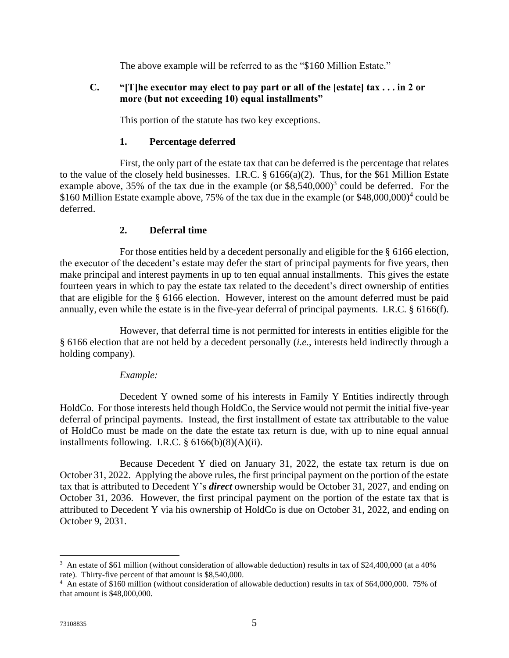The above example will be referred to as the "\$160 Million Estate."

# <span id="page-7-0"></span>**C. "[T]he executor may elect to pay part or all of the [estate] tax . . . in 2 or more (but not exceeding 10) equal installments"**

This portion of the statute has two key exceptions.

# **1. Percentage deferred**

First, the only part of the estate tax that can be deferred is the percentage that relates to the value of the closely held businesses. I.R.C. § 6166(a)(2). Thus, for the \$61 Million Estate example above,  $35\%$  of the tax due in the example (or  $$8,540,000$ <sup>3</sup> could be deferred. For the \$160 Million Estate example above, 75% of the tax due in the example (or \$48,000,000)<sup>4</sup> could be deferred.

# **2. Deferral time**

For those entities held by a decedent personally and eligible for the § 6166 election, the executor of the decedent's estate may defer the start of principal payments for five years, then make principal and interest payments in up to ten equal annual installments. This gives the estate fourteen years in which to pay the estate tax related to the decedent's direct ownership of entities that are eligible for the § 6166 election. However, interest on the amount deferred must be paid annually, even while the estate is in the five-year deferral of principal payments. I.R.C. § 6166(f).

However, that deferral time is not permitted for interests in entities eligible for the § 6166 election that are not held by a decedent personally (*i.e.*, interests held indirectly through a holding company).

# *Example:*

Decedent Y owned some of his interests in Family Y Entities indirectly through HoldCo. For those interests held though HoldCo, the Service would not permit the initial five-year deferral of principal payments. Instead, the first installment of estate tax attributable to the value of HoldCo must be made on the date the estate tax return is due, with up to nine equal annual installments following. I.R.C. § 6166(b)(8)(A)(ii).

Because Decedent Y died on January 31, 2022, the estate tax return is due on October 31, 2022. Applying the above rules, the first principal payment on the portion of the estate tax that is attributed to Decedent Y's *direct* ownership would be October 31, 2027, and ending on October 31, 2036. However, the first principal payment on the portion of the estate tax that is attributed to Decedent Y via his ownership of HoldCo is due on October 31, 2022, and ending on October 9, 2031.

<sup>&</sup>lt;sup>3</sup> An estate of \$61 million (without consideration of allowable deduction) results in tax of \$24,400,000 (at a 40% rate). Thirty-five percent of that amount is \$8,540,000.

<sup>&</sup>lt;sup>4</sup> An estate of \$160 million (without consideration of allowable deduction) results in tax of \$64,000,000. 75% of that amount is \$48,000,000.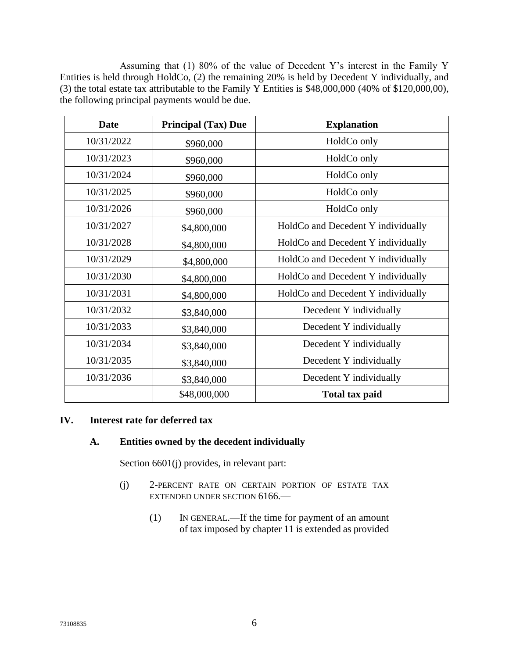Assuming that (1) 80% of the value of Decedent Y's interest in the Family Y Entities is held through HoldCo, (2) the remaining 20% is held by Decedent Y individually, and (3) the total estate tax attributable to the Family Y Entities is \$48,000,000 (40% of \$120,000,00), the following principal payments would be due.

| <b>Date</b>               | <b>Principal (Tax) Due</b> | <b>Explanation</b>                 |  |  |
|---------------------------|----------------------------|------------------------------------|--|--|
| 10/31/2022                | \$960,000                  | HoldCo only                        |  |  |
| 10/31/2023<br>\$960,000   |                            | HoldCo only                        |  |  |
| 10/31/2024                | \$960,000                  | HoldCo only                        |  |  |
| 10/31/2025                | \$960,000                  | HoldCo only                        |  |  |
| 10/31/2026                | \$960,000                  | HoldCo only                        |  |  |
| 10/31/2027                | \$4,800,000                | HoldCo and Decedent Y individually |  |  |
| 10/31/2028<br>\$4,800,000 |                            | HoldCo and Decedent Y individually |  |  |
| 10/31/2029<br>\$4,800,000 |                            | HoldCo and Decedent Y individually |  |  |
| 10/31/2030                | \$4,800,000                | HoldCo and Decedent Y individually |  |  |
| 10/31/2031                | \$4,800,000                | HoldCo and Decedent Y individually |  |  |
| 10/31/2032<br>\$3,840,000 |                            | Decedent Y individually            |  |  |
| 10/31/2033                | \$3,840,000                | Decedent Y individually            |  |  |
| 10/31/2034                | \$3,840,000                | Decedent Y individually            |  |  |
| 10/31/2035                | \$3,840,000                | Decedent Y individually            |  |  |
| 10/31/2036                | \$3,840,000                | Decedent Y individually            |  |  |
|                           | \$48,000,000               | <b>Total tax paid</b>              |  |  |

#### <span id="page-8-1"></span><span id="page-8-0"></span>**IV. Interest rate for deferred tax**

#### **A. Entities owned by the decedent individually**

Section 6601(j) provides, in relevant part:

- (j) 2-PERCENT RATE ON CERTAIN PORTION OF ESTATE TAX EXTENDED UNDER SECTION 6166.—
	- (1) IN GENERAL.—If the time for payment of an amount of tax imposed by chapter 11 is extended as provided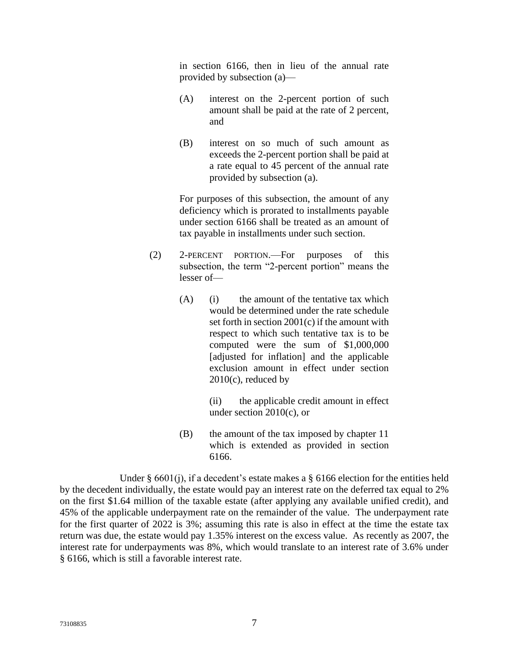in section 6166, then in lieu of the annual rate provided by subsection (a)—

- (A) interest on the 2-percent portion of such amount shall be paid at the rate of 2 percent, and
- (B) interest on so much of such amount as exceeds the 2-percent portion shall be paid at a rate equal to 45 percent of the annual rate provided by subsection (a).

For purposes of this subsection, the amount of any deficiency which is prorated to installments payable under section 6166 shall be treated as an amount of tax payable in installments under such section.

- (2) 2-PERCENT PORTION.—For purposes of this subsection, the term "2-percent portion" means the lesser of—
	- (A) (i) the amount of the tentative tax which would be determined under the rate schedule set forth in section 2001(c) if the amount with respect to which such tentative tax is to be computed were the sum of \$1,000,000 [adjusted for inflation] and the applicable exclusion amount in effect under section 2010(c), reduced by

(ii) the applicable credit amount in effect under section 2010(c), or

(B) the amount of the tax imposed by chapter 11 which is extended as provided in section 6166.

Under § 6601(j), if a decedent's estate makes a § 6166 election for the entities held by the decedent individually, the estate would pay an interest rate on the deferred tax equal to 2% on the first \$1.64 million of the taxable estate (after applying any available unified credit), and 45% of the applicable underpayment rate on the remainder of the value. The underpayment rate for the first quarter of 2022 is 3%; assuming this rate is also in effect at the time the estate tax return was due, the estate would pay 1.35% interest on the excess value. As recently as 2007, the interest rate for underpayments was 8%, which would translate to an interest rate of 3.6% under § 6166, which is still a favorable interest rate.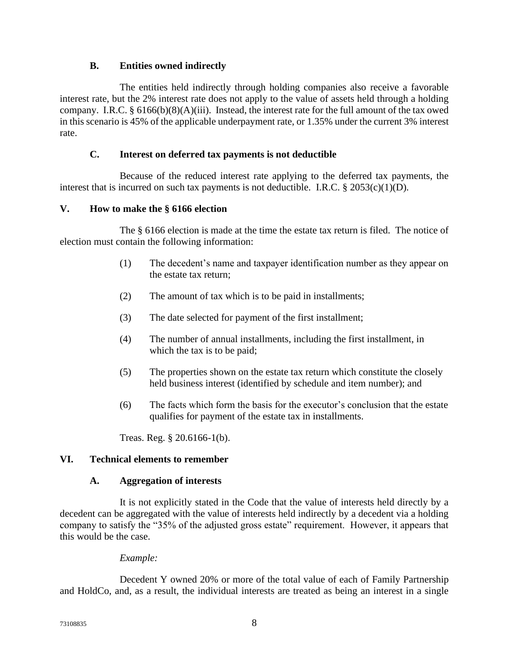# **B. Entities owned indirectly**

<span id="page-10-0"></span>The entities held indirectly through holding companies also receive a favorable interest rate, but the 2% interest rate does not apply to the value of assets held through a holding company. I.R.C. § 6166(b)(8)(A)(iii). Instead, the interest rate for the full amount of the tax owed in this scenario is 45% of the applicable underpayment rate, or 1.35% under the current 3% interest rate.

# **C. Interest on deferred tax payments is not deductible**

<span id="page-10-1"></span>Because of the reduced interest rate applying to the deferred tax payments, the interest that is incurred on such tax payments is not deductible. I.R.C.  $\S 2053(c)(1)(D)$ .

#### <span id="page-10-2"></span>**V. How to make the § 6166 election**

The § 6166 election is made at the time the estate tax return is filed. The notice of election must contain the following information:

- (1) The decedent's name and taxpayer identification number as they appear on the estate tax return;
- (2) The amount of tax which is to be paid in installments;
- (3) The date selected for payment of the first installment;
- (4) The number of annual installments, including the first installment, in which the tax is to be paid;
- (5) The properties shown on the estate tax return which constitute the closely held business interest (identified by schedule and item number); and
- (6) The facts which form the basis for the executor's conclusion that the estate qualifies for payment of the estate tax in installments.

Treas. Reg. § 20.6166-1(b).

#### <span id="page-10-4"></span><span id="page-10-3"></span>**VI. Technical elements to remember**

#### **A. Aggregation of interests**

It is not explicitly stated in the Code that the value of interests held directly by a decedent can be aggregated with the value of interests held indirectly by a decedent via a holding company to satisfy the "35% of the adjusted gross estate" requirement. However, it appears that this would be the case.

#### *Example:*

Decedent Y owned 20% or more of the total value of each of Family Partnership and HoldCo, and, as a result, the individual interests are treated as being an interest in a single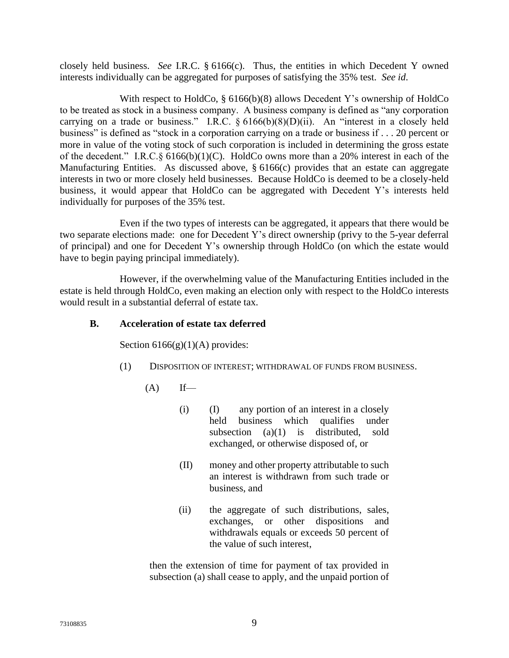closely held business. *See* I.R.C. § 6166(c).Thus, the entities in which Decedent Y owned interests individually can be aggregated for purposes of satisfying the 35% test. *See id*.

With respect to HoldCo, § 6166(b)(8) allows Decedent Y's ownership of HoldCo to be treated as stock in a business company. A business company is defined as "any corporation carrying on a trade or business." I.R.C. § 6166(b)(8)(D)(ii). An "interest in a closely held business" is defined as "stock in a corporation carrying on a trade or business if . . . 20 percent or more in value of the voting stock of such corporation is included in determining the gross estate of the decedent." I.R.C.§ 6166(b)(1)(C). HoldCo owns more than a 20% interest in each of the Manufacturing Entities. As discussed above, § 6166(c) provides that an estate can aggregate interests in two or more closely held businesses. Because HoldCo is deemed to be a closely-held business, it would appear that HoldCo can be aggregated with Decedent Y's interests held individually for purposes of the 35% test.

Even if the two types of interests can be aggregated, it appears that there would be two separate elections made: one for Decedent Y's direct ownership (privy to the 5-year deferral of principal) and one for Decedent Y's ownership through HoldCo (on which the estate would have to begin paying principal immediately).

However, if the overwhelming value of the Manufacturing Entities included in the estate is held through HoldCo, even making an election only with respect to the HoldCo interests would result in a substantial deferral of estate tax.

# <span id="page-11-0"></span>**B. Acceleration of estate tax deferred**

Section  $6166(g)(1)(A)$  provides:

- (1) DISPOSITION OF INTEREST; WITHDRAWAL OF FUNDS FROM BUSINESS.
	- $(A)$  If—
		- (i) (I) any portion of an interest in a closely held business which qualifies under subsection  $(a)(1)$  is distributed, sold exchanged, or otherwise disposed of, or
		- (II) money and other property attributable to such an interest is withdrawn from such trade or business, and
		- (ii) the aggregate of such distributions, sales, exchanges, or other dispositions and withdrawals equals or exceeds 50 percent of the value of such interest,

then the extension of time for payment of tax provided in subsection (a) shall cease to apply, and the unpaid portion of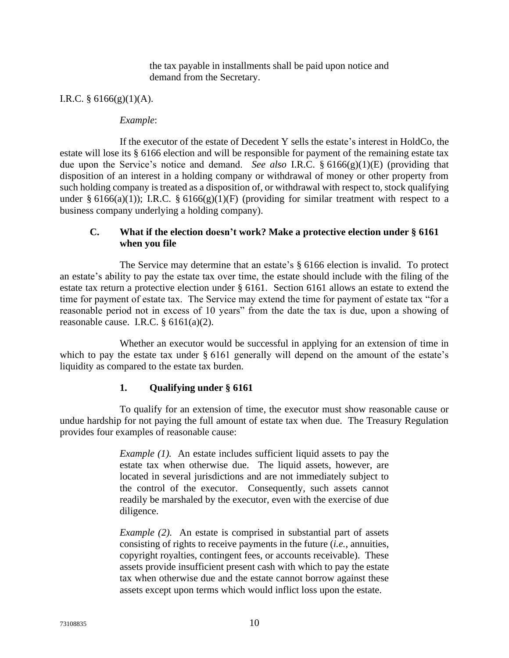the tax payable in installments shall be paid upon notice and demand from the Secretary.

I.R.C.  $\S$  6166(g)(1)(A).

#### *Example*:

If the executor of the estate of Decedent Y sells the estate's interest in HoldCo, the estate will lose its § 6166 election and will be responsible for payment of the remaining estate tax due upon the Service's notice and demand. *See also* I.R.C. § 6166(g)(1)(E) (providing that disposition of an interest in a holding company or withdrawal of money or other property from such holding company is treated as a disposition of, or withdrawal with respect to, stock qualifying under § 6166(a)(1)); I.R.C. § 6166(g)(1)(F) (providing for similar treatment with respect to a business company underlying a holding company).

### <span id="page-12-0"></span>**C. What if the election doesn't work? Make a protective election under § 6161 when you file**

The Service may determine that an estate's § 6166 election is invalid. To protect an estate's ability to pay the estate tax over time, the estate should include with the filing of the estate tax return a protective election under § 6161. Section 6161 allows an estate to extend the time for payment of estate tax. The Service may extend the time for payment of estate tax "for a reasonable period not in excess of 10 years" from the date the tax is due, upon a showing of reasonable cause. I.R.C.  $§ 6161(a)(2)$ .

Whether an executor would be successful in applying for an extension of time in which to pay the estate tax under § 6161 generally will depend on the amount of the estate's liquidity as compared to the estate tax burden.

#### **1. Qualifying under § 6161**

To qualify for an extension of time, the executor must show reasonable cause or undue hardship for not paying the full amount of estate tax when due. The Treasury Regulation provides four examples of reasonable cause:

> *Example (1).* An estate includes sufficient liquid assets to pay the estate tax when otherwise due. The liquid assets, however, are located in several jurisdictions and are not immediately subject to the control of the executor. Consequently, such assets cannot readily be marshaled by the executor, even with the exercise of due diligence.

> *Example (2).* An estate is comprised in substantial part of assets consisting of rights to receive payments in the future (*i.e.*, annuities, copyright royalties, contingent fees, or accounts receivable). These assets provide insufficient present cash with which to pay the estate tax when otherwise due and the estate cannot borrow against these assets except upon terms which would inflict loss upon the estate.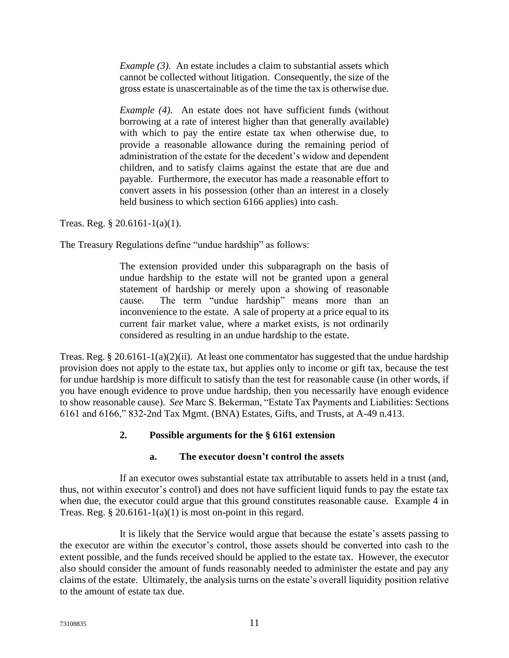*Example (3).* An estate includes a claim to substantial assets which cannot be collected without litigation. Consequently, the size of the gross estate is unascertainable as of the time the tax is otherwise due.

*Example (4).* An estate does not have sufficient funds (without borrowing at a rate of interest higher than that generally available) with which to pay the entire estate tax when otherwise due, to provide a reasonable allowance during the remaining period of administration of the estate for the decedent's widow and dependent children, and to satisfy claims against the estate that are due and payable. Furthermore, the executor has made a reasonable effort to convert assets in his possession (other than an interest in a closely held business to which section 6166 applies) into cash.

Treas. Reg. § 20.6161-1(a)(1).

The Treasury Regulations define "undue hardship" as follows:

The extension provided under this subparagraph on the basis of undue hardship to the estate will not be granted upon a general statement of hardship or merely upon a showing of reasonable cause. The term "undue hardship" means more than an inconvenience to the estate. A sale of property at a price equal to its current fair market value, where a market exists, is not ordinarily considered as resulting in an undue hardship to the estate.

Treas. Reg. § 20.6161-1(a)(2)(ii). At least one commentator has suggested that the undue hardship provision does not apply to the estate tax, but applies only to income or gift tax, because the test for undue hardship is more difficult to satisfy than the test for reasonable cause (in other words, if you have enough evidence to prove undue hardship, then you necessarily have enough evidence to show reasonable cause). *See* Marc S. Bekerman, "Estate Tax Payments and Liabilities: Sections 6161 and 6166," 832-2nd Tax Mgmt. (BNA) Estates, Gifts, and Trusts, at A-49 n.413.

# **2. Possible arguments for the § 6161 extension**

# **a. The executor doesn't control the assets**

If an executor owes substantial estate tax attributable to assets held in a trust (and, thus, not within executor's control) and does not have sufficient liquid funds to pay the estate tax when due, the executor could argue that this ground constitutes reasonable cause. Example 4 in Treas. Reg.  $\S 20.6161 - 1(a)(1)$  is most on-point in this regard.

It is likely that the Service would argue that because the estate's assets passing to the executor are within the executor's control, those assets should be converted into cash to the extent possible, and the funds received should be applied to the estate tax. However, the executor also should consider the amount of funds reasonably needed to administer the estate and pay any claims of the estate. Ultimately, the analysis turns on the estate's overall liquidity position relative to the amount of estate tax due.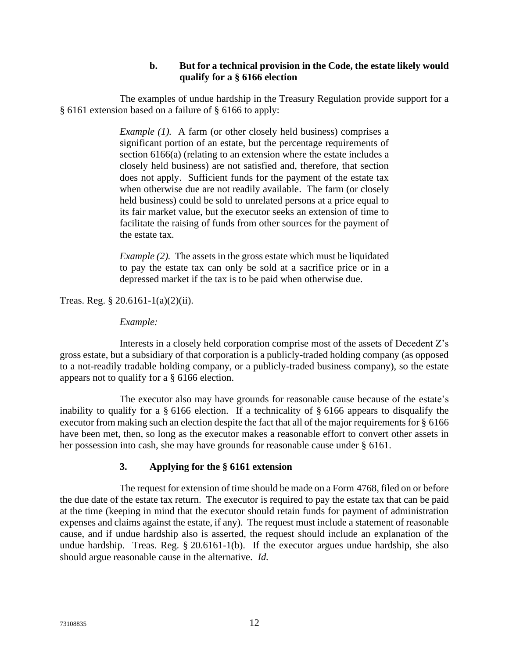# **b. But for a technical provision in the Code, the estate likely would qualify for a § 6166 election**

The examples of undue hardship in the Treasury Regulation provide support for a § 6161 extension based on a failure of § 6166 to apply:

> *Example (1).* A farm (or other closely held business) comprises a significant portion of an estate, but the percentage requirements of section 6166(a) (relating to an extension where the estate includes a closely held business) are not satisfied and, therefore, that section does not apply. Sufficient funds for the payment of the estate tax when otherwise due are not readily available. The farm (or closely held business) could be sold to unrelated persons at a price equal to its fair market value, but the executor seeks an extension of time to facilitate the raising of funds from other sources for the payment of the estate tax.

> *Example (2).* The assets in the gross estate which must be liquidated to pay the estate tax can only be sold at a sacrifice price or in a depressed market if the tax is to be paid when otherwise due.

Treas. Reg. § 20.6161-1(a)(2)(ii).

*Example:* 

Interests in a closely held corporation comprise most of the assets of Decedent Z's gross estate, but a subsidiary of that corporation is a publicly-traded holding company (as opposed to a not-readily tradable holding company, or a publicly-traded business company), so the estate appears not to qualify for a § 6166 election.

The executor also may have grounds for reasonable cause because of the estate's inability to qualify for a § 6166 election. If a technicality of § 6166 appears to disqualify the executor from making such an election despite the fact that all of the major requirements for § 6166 have been met, then, so long as the executor makes a reasonable effort to convert other assets in her possession into cash, she may have grounds for reasonable cause under § 6161.

# **3. Applying for the § 6161 extension**

The request for extension of time should be made on a Form 4768, filed on or before the due date of the estate tax return. The executor is required to pay the estate tax that can be paid at the time (keeping in mind that the executor should retain funds for payment of administration expenses and claims against the estate, if any). The request must include a statement of reasonable cause, and if undue hardship also is asserted, the request should include an explanation of the undue hardship. Treas. Reg. § 20.6161-1(b). If the executor argues undue hardship, she also should argue reasonable cause in the alternative. *Id.*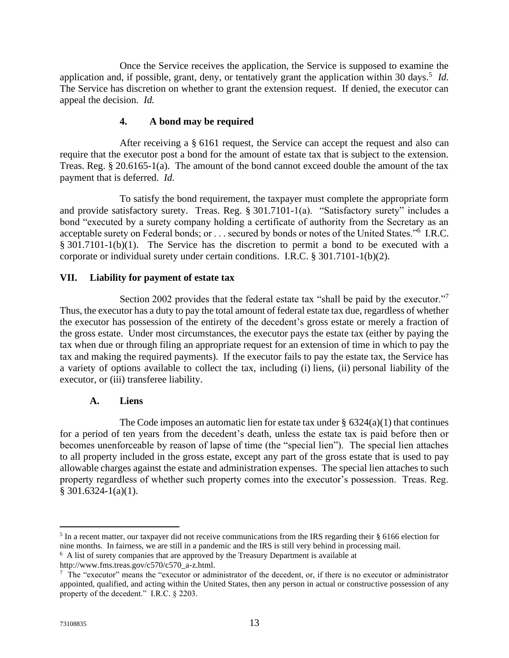Once the Service receives the application, the Service is supposed to examine the application and, if possible, grant, deny, or tentatively grant the application within 30 days.<sup>5</sup> *Id*. The Service has discretion on whether to grant the extension request. If denied, the executor can appeal the decision. *Id.*

# **4. A bond may be required**

After receiving a  $\S$  6161 request, the Service can accept the request and also can require that the executor post a bond for the amount of estate tax that is subject to the extension. Treas. Reg. § 20.6165-1(a). The amount of the bond cannot exceed double the amount of the tax payment that is deferred. *Id.*

To satisfy the bond requirement, the taxpayer must complete the appropriate form and provide satisfactory surety. Treas. Reg. § 301.7101-1(a). "Satisfactory surety" includes a bond "executed by a surety company holding a certificate of authority from the Secretary as an acceptable surety on Federal bonds; or . . . secured by bonds or notes of the United States."<sup>6</sup> I.R.C. § 301.7101-1(b)(1). The Service has the discretion to permit a bond to be executed with a corporate or individual surety under certain conditions. I.R.C. § 301.7101-1(b)(2).

### <span id="page-15-0"></span>**VII. Liability for payment of estate tax**

Section 2002 provides that the federal estate tax "shall be paid by the executor."<sup>7</sup> Thus, the executor has a duty to pay the total amount of federal estate tax due, regardless of whether the executor has possession of the entirety of the decedent's gross estate or merely a fraction of the gross estate. Under most circumstances, the executor pays the estate tax (either by paying the tax when due or through filing an appropriate request for an extension of time in which to pay the tax and making the required payments). If the executor fails to pay the estate tax, the Service has a variety of options available to collect the tax, including (i) liens, (ii) personal liability of the executor, or (iii) transferee liability.

#### **A. Liens**

<span id="page-15-1"></span>The Code imposes an automatic lien for estate tax under  $\S$  6324(a)(1) that continues for a period of ten years from the decedent's death, unless the estate tax is paid before then or becomes unenforceable by reason of lapse of time (the "special lien"). The special lien attaches to all property included in the gross estate, except any part of the gross estate that is used to pay allowable charges against the estate and administration expenses. The special lien attaches to such property regardless of whether such property comes into the executor's possession. Treas. Reg. § 301.6324-1(a)(1).

 $<sup>5</sup>$  In a recent matter, our taxpayer did not receive communications from the IRS regarding their § 6166 election for</sup> nine months. In fairness, we are still in a pandemic and the IRS is still very behind in processing mail.

<sup>&</sup>lt;sup>6</sup> A list of surety companies that are approved by the Treasury Department is available at

http://www.fms.treas.gov/c570/c570\_a-z.html.

<sup>&</sup>lt;sup>7</sup> The "executor" means the "executor or administrator of the decedent, or, if there is no executor or administrator appointed, qualified, and acting within the United States, then any person in actual or constructive possession of any property of the decedent." I.R.C. § 2203.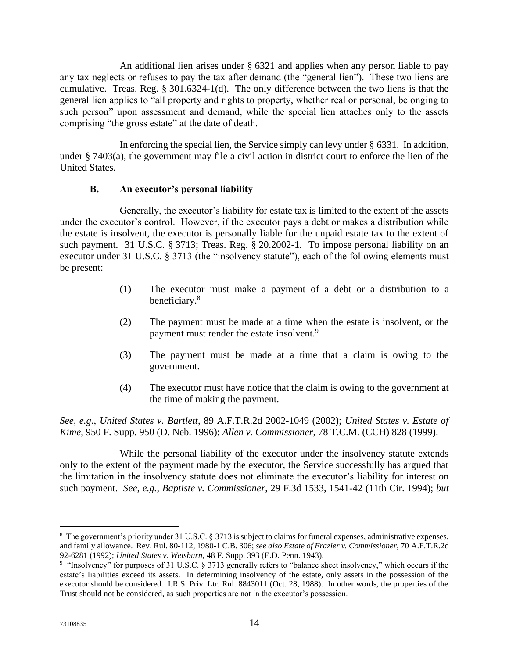An additional lien arises under § 6321 and applies when any person liable to pay any tax neglects or refuses to pay the tax after demand (the "general lien"). These two liens are cumulative. Treas. Reg. § 301.6324-1(d). The only difference between the two liens is that the general lien applies to "all property and rights to property, whether real or personal, belonging to such person" upon assessment and demand, while the special lien attaches only to the assets comprising "the gross estate" at the date of death.

In enforcing the special lien, the Service simply can levy under § 6331. In addition, under § 7403(a), the government may file a civil action in district court to enforce the lien of the United States.

### **B. An executor's personal liability**

<span id="page-16-0"></span>Generally, the executor's liability for estate tax is limited to the extent of the assets under the executor's control. However, if the executor pays a debt or makes a distribution while the estate is insolvent, the executor is personally liable for the unpaid estate tax to the extent of such payment. 31 U.S.C. § 3713; Treas. Reg. § 20.2002-1. To impose personal liability on an executor under 31 U.S.C. § 3713 (the "insolvency statute"), each of the following elements must be present:

- (1) The executor must make a payment of a debt or a distribution to a beneficiary.<sup>8</sup>
- (2) The payment must be made at a time when the estate is insolvent, or the payment must render the estate insolvent.<sup>9</sup>
- (3) The payment must be made at a time that a claim is owing to the government.
- (4) The executor must have notice that the claim is owing to the government at the time of making the payment.

*See*, *e.g.*, *United States v. Bartlett*, 89 A.F.T.R.2d 2002-1049 (2002); *United States v. Estate of Kime*, 950 F. Supp. 950 (D. Neb. 1996); *Allen v. Commissioner*, 78 T.C.M. (CCH) 828 (1999).

While the personal liability of the executor under the insolvency statute extends only to the extent of the payment made by the executor, the Service successfully has argued that the limitation in the insolvency statute does not eliminate the executor's liability for interest on such payment. *See*, *e.g.*, *Baptiste v. Commissioner*, 29 F.3d 1533, 1541-42 (11th Cir. 1994); *but* 

<sup>&</sup>lt;sup>8</sup> The government's priority under 31 U.S.C. § 3713 is subject to claims for funeral expenses, administrative expenses, and family allowance. Rev. Rul. 80-112, 1980-1 C.B. 306; *see also Estate of Frazier v. Commissioner*, 70 A.F.T.R.2d 92-6281 (1992); *United States v. Weisburn*, 48 F. Supp. 393 (E.D. Penn. 1943).

<sup>&</sup>lt;sup>9</sup> "Insolvency" for purposes of 31 U.S.C. § 3713 generally refers to "balance sheet insolvency," which occurs if the estate's liabilities exceed its assets. In determining insolvency of the estate, only assets in the possession of the executor should be considered. I.R.S. Priv. Ltr. Rul. 8843011 (Oct. 28, 1988). In other words, the properties of the Trust should not be considered, as such properties are not in the executor's possession.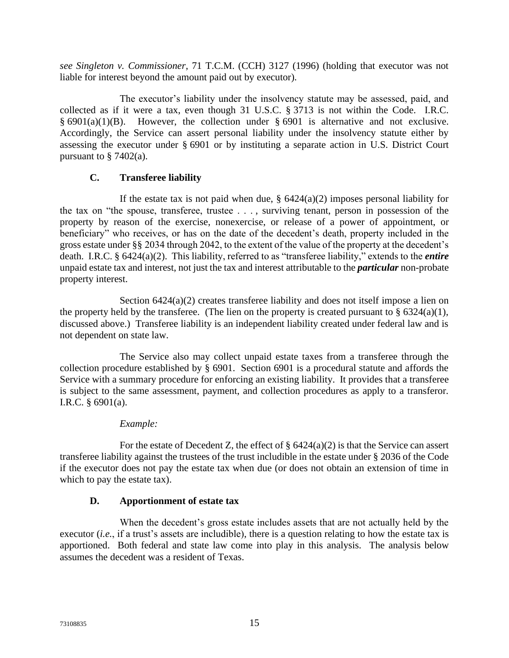*see Singleton v. Commissioner*, 71 T.C.M. (CCH) 3127 (1996) (holding that executor was not liable for interest beyond the amount paid out by executor).

The executor's liability under the insolvency statute may be assessed, paid, and collected as if it were a tax, even though 31 U.S.C. § 3713 is not within the Code. I.R.C.  $§ 6901(a)(1)(B)$ . However, the collection under § 6901 is alternative and not exclusive. Accordingly, the Service can assert personal liability under the insolvency statute either by assessing the executor under § 6901 or by instituting a separate action in U.S. District Court pursuant to  $\S$  7402(a).

# **C. Transferee liability**

<span id="page-17-0"></span>If the estate tax is not paid when due,  $\S$  6424(a)(2) imposes personal liability for the tax on "the spouse, transferee, trustee . . . , surviving tenant, person in possession of the property by reason of the exercise, nonexercise, or release of a power of appointment, or beneficiary" who receives, or has on the date of the decedent's death, property included in the gross estate under §§ 2034 through 2042, to the extent of the value of the property at the decedent's death. I.R.C. § 6424(a)(2). This liability, referred to as "transferee liability," extends to the *entire* unpaid estate tax and interest, not just the tax and interest attributable to the *particular* non-probate property interest.

Section 6424(a)(2) creates transferee liability and does not itself impose a lien on the property held by the transferee. (The lien on the property is created pursuant to  $\S$  6324(a)(1), discussed above.) Transferee liability is an independent liability created under federal law and is not dependent on state law.

The Service also may collect unpaid estate taxes from a transferee through the collection procedure established by § 6901. Section 6901 is a procedural statute and affords the Service with a summary procedure for enforcing an existing liability. It provides that a transferee is subject to the same assessment, payment, and collection procedures as apply to a transferor. I.R.C. § 6901(a).

# *Example:*

For the estate of Decedent Z, the effect of  $\S$  6424(a)(2) is that the Service can assert transferee liability against the trustees of the trust includible in the estate under § 2036 of the Code if the executor does not pay the estate tax when due (or does not obtain an extension of time in which to pay the estate tax).

# **D. Apportionment of estate tax**

<span id="page-17-1"></span>When the decedent's gross estate includes assets that are not actually held by the executor (*i.e.*, if a trust's assets are includible), there is a question relating to how the estate tax is apportioned. Both federal and state law come into play in this analysis. The analysis below assumes the decedent was a resident of Texas.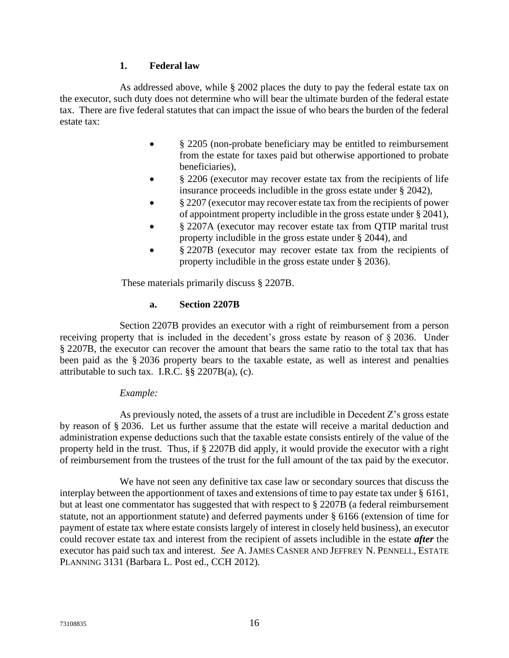# **1. Federal law**

As addressed above, while § 2002 places the duty to pay the federal estate tax on the executor, such duty does not determine who will bear the ultimate burden of the federal estate tax. There are five federal statutes that can impact the issue of who bears the burden of the federal estate tax:

- § 2205 (non-probate beneficiary may be entitled to reimbursement from the estate for taxes paid but otherwise apportioned to probate beneficiaries),
- § 2206 (executor may recover estate tax from the recipients of life insurance proceeds includible in the gross estate under § 2042),
- § 2207 (executor may recover estate tax from the recipients of power of appointment property includible in the gross estate under § 2041),
- § 2207A (executor may recover estate tax from QTIP marital trust property includible in the gross estate under § 2044), and
- § 2207B (executor may recover estate tax from the recipients of property includible in the gross estate under § 2036).

These materials primarily discuss § 2207B.

### **a. Section 2207B**

Section 2207B provides an executor with a right of reimbursement from a person receiving property that is included in the decedent's gross estate by reason of § 2036. Under § 2207B, the executor can recover the amount that bears the same ratio to the total tax that has been paid as the § 2036 property bears to the taxable estate, as well as interest and penalties attributable to such tax. I.R.C. §§ 2207B(a), (c).

#### *Example:*

As previously noted, the assets of a trust are includible in Decedent Z's gross estate by reason of § 2036. Let us further assume that the estate will receive a marital deduction and administration expense deductions such that the taxable estate consists entirely of the value of the property held in the trust. Thus, if § 2207B did apply, it would provide the executor with a right of reimbursement from the trustees of the trust for the full amount of the tax paid by the executor.

We have not seen any definitive tax case law or secondary sources that discuss the interplay between the apportionment of taxes and extensions of time to pay estate tax under § 6161, but at least one commentator has suggested that with respect to § 2207B (a federal reimbursement statute, not an apportionment statute) and deferred payments under § 6166 (extension of time for payment of estate tax where estate consists largely of interest in closely held business), an executor could recover estate tax and interest from the recipient of assets includible in the estate *after* the executor has paid such tax and interest. *See* A. JAMES CASNER AND JEFFREY N. PENNELL, ESTATE PLANNING 3131 (Barbara L. Post ed., CCH 2012).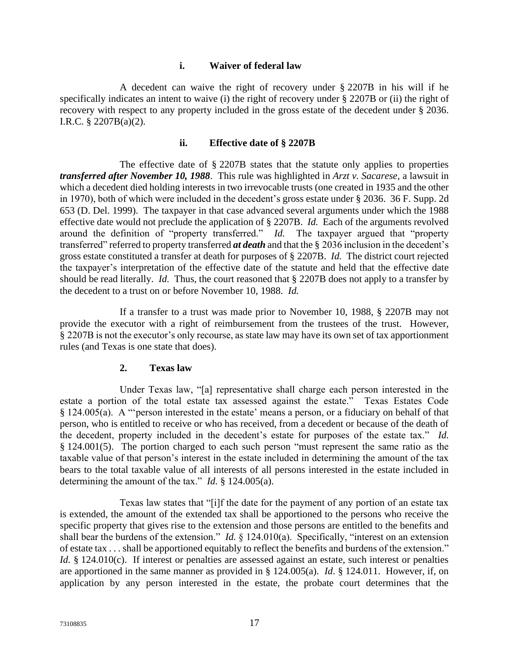#### **i. Waiver of federal law**

A decedent can waive the right of recovery under § 2207B in his will if he specifically indicates an intent to waive (i) the right of recovery under § 2207B or (ii) the right of recovery with respect to any property included in the gross estate of the decedent under § 2036. I.R.C. § 2207B(a)(2).

#### **ii. Effective date of § 2207B**

The effective date of § 2207B states that the statute only applies to properties *transferred after November 10, 1988*. This rule was highlighted in *Arzt v. Sacarese*, a lawsuit in which a decedent died holding interests in two irrevocable trusts (one created in 1935 and the other in 1970), both of which were included in the decedent's gross estate under § 2036. 36 F. Supp. 2d 653 (D. Del. 1999). The taxpayer in that case advanced several arguments under which the 1988 effective date would not preclude the application of § 2207B. *Id.* Each of the arguments revolved around the definition of "property transferred." *Id.* The taxpayer argued that "property transferred" referred to property transferred *at death* and that the § 2036 inclusion in the decedent's gross estate constituted a transfer at death for purposes of § 2207B. *Id.* The district court rejected the taxpayer's interpretation of the effective date of the statute and held that the effective date should be read literally. *Id.* Thus, the court reasoned that § 2207B does not apply to a transfer by the decedent to a trust on or before November 10, 1988. *Id.*

If a transfer to a trust was made prior to November 10, 1988, § 2207B may not provide the executor with a right of reimbursement from the trustees of the trust. However, § 2207B is not the executor's only recourse, as state law may have its own set of tax apportionment rules (and Texas is one state that does).

#### **2. Texas law**

Under Texas law, "[a] representative shall charge each person interested in the estate a portion of the total estate tax assessed against the estate." Texas Estates Code § 124.005(a). A "'person interested in the estate' means a person, or a fiduciary on behalf of that person, who is entitled to receive or who has received, from a decedent or because of the death of the decedent, property included in the decedent's estate for purposes of the estate tax." *Id.*  § 124.001(5). The portion charged to each such person "must represent the same ratio as the taxable value of that person's interest in the estate included in determining the amount of the tax bears to the total taxable value of all interests of all persons interested in the estate included in determining the amount of the tax." *Id.* § 124.005(a).

Texas law states that "[i]f the date for the payment of any portion of an estate tax is extended, the amount of the extended tax shall be apportioned to the persons who receive the specific property that gives rise to the extension and those persons are entitled to the benefits and shall bear the burdens of the extension." *Id.* § 124.010(a). Specifically, "interest on an extension of estate tax . . . shall be apportioned equitably to reflect the benefits and burdens of the extension." *Id.* § 124.010(c). If interest or penalties are assessed against an estate, such interest or penalties are apportioned in the same manner as provided in § 124.005(a). *Id*. § 124.011. However, if, on application by any person interested in the estate, the probate court determines that the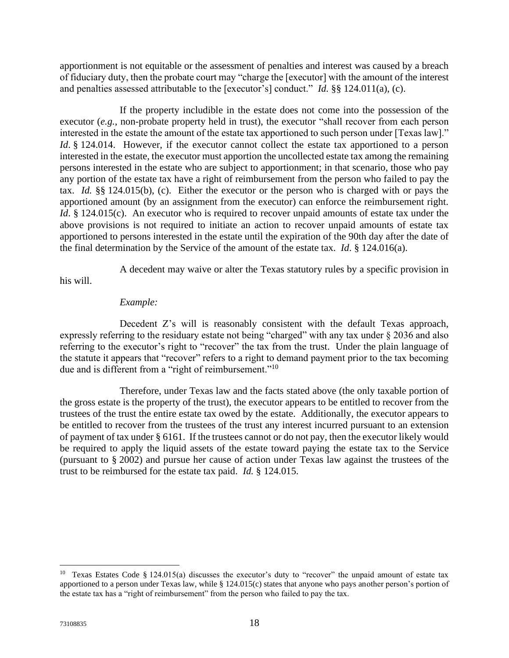apportionment is not equitable or the assessment of penalties and interest was caused by a breach of fiduciary duty, then the probate court may "charge the [executor] with the amount of the interest and penalties assessed attributable to the [executor's] conduct." *Id.* §§ 124.011(a), (c).

If the property includible in the estate does not come into the possession of the executor (*e.g.*, non-probate property held in trust), the executor "shall recover from each person interested in the estate the amount of the estate tax apportioned to such person under [Texas law]." *Id.* § 124.014. However, if the executor cannot collect the estate tax apportioned to a person interested in the estate, the executor must apportion the uncollected estate tax among the remaining persons interested in the estate who are subject to apportionment; in that scenario, those who pay any portion of the estate tax have a right of reimbursement from the person who failed to pay the tax. *Id.* §§ 124.015(b), (c). Either the executor or the person who is charged with or pays the apportioned amount (by an assignment from the executor) can enforce the reimbursement right. *Id*. § 124.015(c). An executor who is required to recover unpaid amounts of estate tax under the above provisions is not required to initiate an action to recover unpaid amounts of estate tax apportioned to persons interested in the estate until the expiration of the 90th day after the date of the final determination by the Service of the amount of the estate tax. *Id*. § 124.016(a).

A decedent may waive or alter the Texas statutory rules by a specific provision in

his will.

### *Example:*

Decedent Z's will is reasonably consistent with the default Texas approach, expressly referring to the residuary estate not being "charged" with any tax under § 2036 and also referring to the executor's right to "recover" the tax from the trust. Under the plain language of the statute it appears that "recover" refers to a right to demand payment prior to the tax becoming due and is different from a "right of reimbursement."<sup>10</sup>

Therefore, under Texas law and the facts stated above (the only taxable portion of the gross estate is the property of the trust), the executor appears to be entitled to recover from the trustees of the trust the entire estate tax owed by the estate. Additionally, the executor appears to be entitled to recover from the trustees of the trust any interest incurred pursuant to an extension of payment of tax under § 6161. If the trustees cannot or do not pay, then the executor likely would be required to apply the liquid assets of the estate toward paying the estate tax to the Service (pursuant to § 2002) and pursue her cause of action under Texas law against the trustees of the trust to be reimbursed for the estate tax paid. *Id.* § 124.015.

<sup>&</sup>lt;sup>10</sup> Texas Estates Code § 124.015(a) discusses the executor's duty to "recover" the unpaid amount of estate tax apportioned to a person under Texas law, while § 124.015(c) states that anyone who pays another person's portion of the estate tax has a "right of reimbursement" from the person who failed to pay the tax.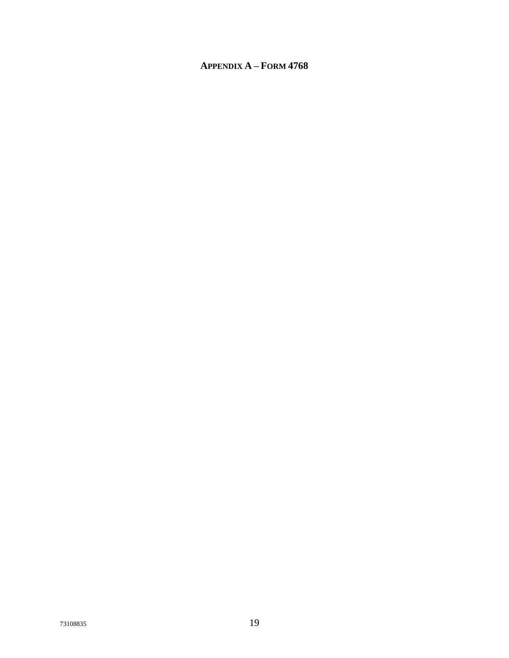# <span id="page-21-0"></span>**APPENDIX A - FORM 4768**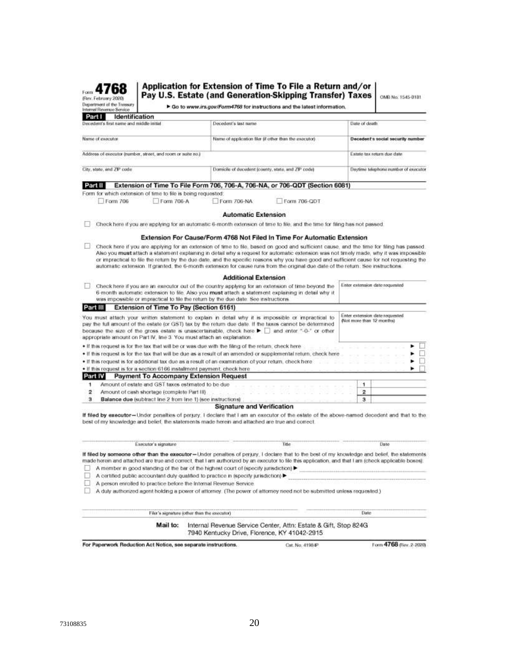Application for Extension of Time To File a Return and/or

Form 4768 (Rev. February 2020) Department of the Treasury

Pay U.S. Estate (and Generation-Skipping Transfer) Taxes | ONB No. 1545-0181

| ---------------------<br>Department of the Treasury<br>Internal Revenue Service                                | > Go to www.irs.gov/Form4768 for instructions and the latest information. |                                                                                                     |                                                                                       |  |  |  |
|----------------------------------------------------------------------------------------------------------------|---------------------------------------------------------------------------|-----------------------------------------------------------------------------------------------------|---------------------------------------------------------------------------------------|--|--|--|
| Part I<br>Identification                                                                                       |                                                                           |                                                                                                     |                                                                                       |  |  |  |
| Decedent's first name and middle initial<br>TA 1999 HANDY BACK MOTOR (STATISTICS)                              |                                                                           | Decedent's last name.                                                                               | Date of death<br><u>talisme (mata</u>                                                 |  |  |  |
| Name of executor<br>[일본] 아이들은 삼 개의 사람이 없다                                                                      |                                                                           | Name of application filer (if other than the executor)                                              | Decedent's social security number                                                     |  |  |  |
| Address of executor inumber, street, and room or suite no.)<br>사진 사람은 사람들은 아이들이 일을 받았던 것이 아닌 것들은 아이의 아이들이 있었다. |                                                                           |                                                                                                     | Estate tax return due date                                                            |  |  |  |
| City, state, and ZP code:                                                                                      |                                                                           | Domicile of decedent (county, state, and ZP code)<br>아버지는 아이들이 아이에 가지고 있었다. 이 사람 사람은 사람들에게 정말 나 있다. | Daytime telephone number of executor<br>오늘 아이는 사람이 어려운 일을 보이는 것이 아이들이 아이를 보이는 것이 없었다. |  |  |  |
| Part II                                                                                                        |                                                                           | Extension of Time To File Form 706, 706-A, 706-NA, or 706-QDT (Section 6081)                        |                                                                                       |  |  |  |

Form for which extension of time to file is being requested:

Form 706 Form 706-A Form 706-NA

**Automatic Extension** 

Form 706-QDT

□ Check here if you are applying for an automatic 6-month extension of time to file, and the time for filing has not passed.

#### Extension For Cause/Form 4768 Not Filed In Time For Automatic Extension

□ Check here if you are applying for an extension of time to file, based on good and sufficient cause, and the time for filing has passed Also you must attach a statement explaining in detail why a request for automatic extension was not timely made, why it was impossible or impractical to file the return by the due date, and the specific reasons why you have good and sufficient cause for not requesting the automatic extension. If granted, the 6-month extension for cause runs from the origi

|          | <b>Additional Extension</b>                                                                                                                                                                                                                                                                                                                                                                         |                           |                                |
|----------|-----------------------------------------------------------------------------------------------------------------------------------------------------------------------------------------------------------------------------------------------------------------------------------------------------------------------------------------------------------------------------------------------------|---------------------------|--------------------------------|
|          | Check here if you are an executor out of the country applying for an extension of time beyond the<br>6-month automatic extension to file. Also you must attach a statement explaining in detail why it<br>was impossible or impractical to file the return by the due date. See instructions.                                                                                                       |                           | Enter extension date requested |
| Part III | Extension of Time To Pay (Section 6161)                                                                                                                                                                                                                                                                                                                                                             |                           |                                |
|          | You must attach your written statement to explain in detail why it is impossible or impractical to<br>pay the full amount of the estate (or GST) tax by the return due date. If the taxes cannot be determined<br>because the size of the gross estate is unascertainable, check here <b>&gt;</b> and enter "-0-" or other<br>appropriate amount on Part IV, Ine 3. You must attach an explanation. | (Not more than 12 months) | Enter extension date requested |
|          | . If this request is for the tax that will be or was due with the filing of the return, check here<br>. If this request is for the tax that will be due as a result of an amended or supplemental return, check here                                                                                                                                                                                |                           | <b>B</b><br>ш                  |
|          | . If this request is for additional tax due as a result of an examination of your return, check here                                                                                                                                                                                                                                                                                                |                           | C.                             |
|          | . If this request is for a section 6166 installment payment, check here                                                                                                                                                                                                                                                                                                                             |                           |                                |
| Part IV  | Payment To Accompany Extension Request                                                                                                                                                                                                                                                                                                                                                              |                           |                                |
|          | Amount of estate and GST taxes estimated to be due                                                                                                                                                                                                                                                                                                                                                  |                           |                                |
| 2        | Amount of cash shortage (complete Part III)                                                                                                                                                                                                                                                                                                                                                         | 2                         |                                |
| з        | Balance due (subtract line 2 from line 1) (see instructions)                                                                                                                                                                                                                                                                                                                                        | 3                         |                                |
|          | <b>Signature and Verification</b>                                                                                                                                                                                                                                                                                                                                                                   |                           |                                |

If filed by executor-Under penalties of perjury, I declare that I am an executor of the estate of the above-named decedent and that to the best of my knowledge and belief, the statements made herein and attached are true and correct.

|                                                                    | Mail to: | Filer's signature (other than the executor)<br>7940 Kentucky Drive, Florence, KY 41042-2915                                                                               | Internal Revenue Service Center, Attn: Estate & Gift, Stop 824G                                                      | Date                                                                                                                                                 |
|--------------------------------------------------------------------|----------|---------------------------------------------------------------------------------------------------------------------------------------------------------------------------|----------------------------------------------------------------------------------------------------------------------|------------------------------------------------------------------------------------------------------------------------------------------------------|
|                                                                    |          |                                                                                                                                                                           |                                                                                                                      |                                                                                                                                                      |
|                                                                    |          |                                                                                                                                                                           |                                                                                                                      |                                                                                                                                                      |
| A person enrolled to practice before the Internal Revenue Service. |          | A member in good standing of the bar of the highest court of (specify jurisdiction)<br>A certified public accountant duly qualified to practice in (specify jurisdiction) | A duly authorized agent holding a power of attorney. (The power of attorney need not be submitted unless requested.) | made herein and attached are true and correct, that I am authorized by an executor to file this application, and that I am (check applicable boxes). |
|                                                                    |          |                                                                                                                                                                           |                                                                                                                      | If filed by someone other than the executor-Under penalties of perjury. I declare that to the best of my knowledge and belief, the statements        |
|                                                                    |          |                                                                                                                                                                           | Title                                                                                                                | <b>Elate</b>                                                                                                                                         |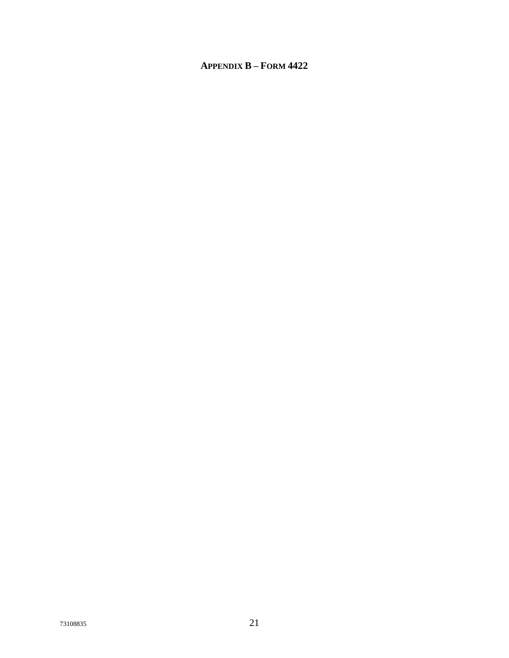# <span id="page-23-0"></span>**APPENDIX B - FORM 4422**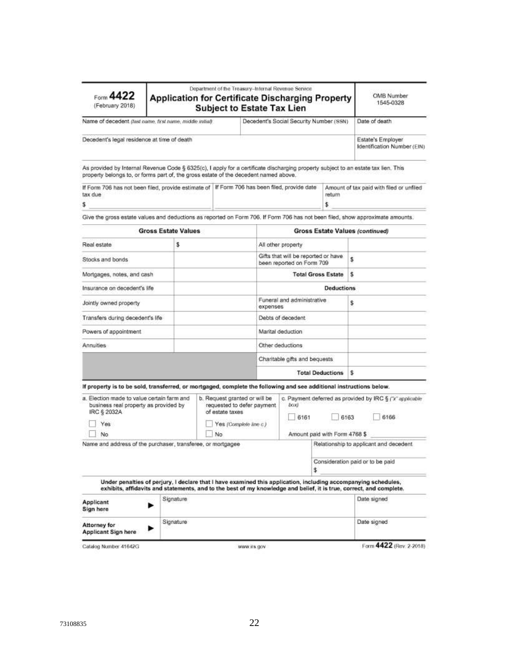| Form 4422<br>(February 2018)                                                                                                                                                                                               |                            |                       | Department of the Treasury-Internal Revenue Service<br><b>Application for Certificate Discharging Property</b><br><b>Subject to Estate Tax Lien</b> |                                                                  |                                       | OMB Number<br>1545-0328                                                                                                                                                                                                               |  |
|----------------------------------------------------------------------------------------------------------------------------------------------------------------------------------------------------------------------------|----------------------------|-----------------------|-----------------------------------------------------------------------------------------------------------------------------------------------------|------------------------------------------------------------------|---------------------------------------|---------------------------------------------------------------------------------------------------------------------------------------------------------------------------------------------------------------------------------------|--|
| Name of decedent (last name, first name, middle initial)                                                                                                                                                                   |                            |                       | Decedent's Social Security Number (SSN)                                                                                                             |                                                                  |                                       | Date of death                                                                                                                                                                                                                         |  |
| Decedent's legal residence at time of death                                                                                                                                                                                |                            |                       |                                                                                                                                                     |                                                                  |                                       | Estate's Employer<br>Identification Number (EIN)                                                                                                                                                                                      |  |
| As provided by Internal Revenue Code § 6325(c), I apply for a certificate discharging property subject to an estate tax lien. This<br>property belongs to, or forms part of, the gross estate of the decedent named above. |                            |                       |                                                                                                                                                     |                                                                  |                                       |                                                                                                                                                                                                                                       |  |
| tax due                                                                                                                                                                                                                    |                            |                       | If Form 706 has not been filed, provide estimate of   If Form 706 has been filed, provide date<br>return<br>\$.                                     |                                                                  |                                       | Amount of tax paid with filed or unfiled                                                                                                                                                                                              |  |
| \$                                                                                                                                                                                                                         |                            |                       |                                                                                                                                                     |                                                                  |                                       | Give the gross estate values and deductions as reported on Form 706. If Form 706 has not been filed, show approximate amounts.                                                                                                        |  |
|                                                                                                                                                                                                                            | <b>Gross Estate Values</b> |                       |                                                                                                                                                     |                                                                  |                                       | Gross Estate Values (continued)                                                                                                                                                                                                       |  |
| Real estate                                                                                                                                                                                                                | \$                         |                       |                                                                                                                                                     | All other property                                               |                                       |                                                                                                                                                                                                                                       |  |
| Stocks and bonds                                                                                                                                                                                                           |                            |                       |                                                                                                                                                     | Gifts that will be reported or have<br>been reported on Form 709 |                                       | \$                                                                                                                                                                                                                                    |  |
| Mortgages, notes, and cash                                                                                                                                                                                                 |                            |                       |                                                                                                                                                     | <b>Total Gross Estate</b>                                        |                                       | s                                                                                                                                                                                                                                     |  |
| Insurance on decedent's life                                                                                                                                                                                               |                            |                       |                                                                                                                                                     |                                                                  | <b>Deductions</b>                     |                                                                                                                                                                                                                                       |  |
| Jointly owned property                                                                                                                                                                                                     |                            |                       |                                                                                                                                                     | Funeral and administrative<br>expenses                           |                                       | \$.                                                                                                                                                                                                                                   |  |
| Transfers during decedent's life                                                                                                                                                                                           |                            |                       |                                                                                                                                                     | Debts of decedent                                                |                                       |                                                                                                                                                                                                                                       |  |
| Powers of appointment                                                                                                                                                                                                      |                            |                       |                                                                                                                                                     | Marital deduction                                                |                                       |                                                                                                                                                                                                                                       |  |
| Annuities                                                                                                                                                                                                                  |                            |                       |                                                                                                                                                     | Other deductions                                                 |                                       |                                                                                                                                                                                                                                       |  |
|                                                                                                                                                                                                                            |                            |                       |                                                                                                                                                     | Charitable gifts and bequests                                    |                                       |                                                                                                                                                                                                                                       |  |
|                                                                                                                                                                                                                            |                            |                       |                                                                                                                                                     |                                                                  | <b>Total Deductions</b>               | s.                                                                                                                                                                                                                                    |  |
| If property is to be sold, transferred, or mortgaged, complete the following and see additional instructions below.                                                                                                        |                            |                       |                                                                                                                                                     |                                                                  |                                       |                                                                                                                                                                                                                                       |  |
| a. Election made to value certain farm and<br>business real property as provided by<br>IRC § 2032A<br>Yes<br>No                                                                                                            |                            | of estate taxes<br>No | b. Request granted or will be<br>requested to defer payment.<br>Yes (Complete line c.)                                                              | box).<br>6161                                                    | 6163<br>Amount paid with Form 4768 \$ | c. Payment deferred as provided by IRC § ("x" applicable<br>6166                                                                                                                                                                      |  |
| Name and address of the purchaser, transferee, or mortgagee                                                                                                                                                                |                            |                       |                                                                                                                                                     |                                                                  |                                       | Relationship to applicant and decedent                                                                                                                                                                                                |  |
|                                                                                                                                                                                                                            |                            |                       |                                                                                                                                                     | \$                                                               |                                       | Consideration paid or to be paid                                                                                                                                                                                                      |  |
|                                                                                                                                                                                                                            |                            |                       |                                                                                                                                                     |                                                                  |                                       | Under penalties of perjury, I declare that I have examined this application, including accompanying schedules,<br>exhibits, affidavits and statements, and to the best of my knowledge and belief, it is true, correct, and complete. |  |
| <b>Applicant</b><br>Sign here                                                                                                                                                                                              | Signature                  |                       |                                                                                                                                                     |                                                                  |                                       | Date signed                                                                                                                                                                                                                           |  |
| Signature<br>Attorney for<br>Applicant Sign here                                                                                                                                                                           |                            |                       |                                                                                                                                                     | Date signed                                                      |                                       |                                                                                                                                                                                                                                       |  |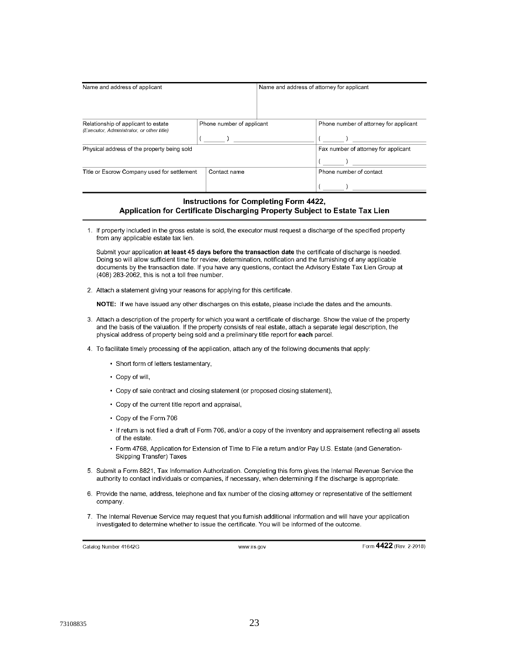| Name and address of applicant                                                    |                           | Name and address of attorney for applicant |                                        |
|----------------------------------------------------------------------------------|---------------------------|--------------------------------------------|----------------------------------------|
| Relationship of applicant to estate<br>(Executor, Administrator, or other title) | Phone number of applicant |                                            | Phone number of attorney for applicant |
| Physical address of the property being sold                                      |                           |                                            | Fax number of attorney for applicant   |
| Title or Escrow Company used for settlement                                      | Contact name              |                                            | Phone number of contact                |

#### **Instructions for Completing Form 4422,** Application for Certificate Discharging Property Subject to Estate Tax Lien

1. If property included in the gross estate is sold, the executor must request a discharge of the specified property from any applicable estate tax lien.

Submit your application at least 45 days before the transaction date the certificate of discharge is needed. Doing so will allow sufficient time for review, determination, notification and the furnishing of any applicable documents by the transaction date. If you have any questions, contact the Advisory Estate Tax Lien Group at (408) 283-2062, this is not a toll free number.

2. Attach a statement giving your reasons for applying for this certificate.

NOTE: If we have issued any other discharges on this estate, please include the dates and the amounts.

- 3. Attach a description of the property for which you want a certificate of discharge. Show the value of the property and the basis of the valuation. If the property consists of real estate, attach a separate legal description, the physical address of property being sold and a preliminary title report for each parcel.
- 4. To facilitate timely processing of the application, attach any of the following documents that apply:
	- Short form of letters testamentary,
	- Copy of will,
	- Copy of sale contract and closing statement (or proposed closing statement),
	- Copy of the current title report and appraisal,
	- Copy of the Form 706
	- . If return is not filed a draft of Form 706, and/or a copy of the inventory and appraisement reflecting all assets of the estate.
	- · Form 4768, Application for Extension of Time to File a return and/or Pay U.S. Estate (and Generation-**Skipping Transfer) Taxes**
- 5. Submit a Form 8821, Tax Information Authorization. Completing this form gives the Internal Revenue Service the authority to contact individuals or companies, if necessary, when determining if the discharge is appropriate.
- 6. Provide the name, address, telephone and fax number of the closing attorney or representative of the settlement company.
- 7. The Internal Revenue Service may request that you furnish additional information and will have your application investigated to determine whether to issue the certificate. You will be informed of the outcome.

Catalog Number 41642G

www.irs.gov

Form 4422 (Rev. 2-2018)